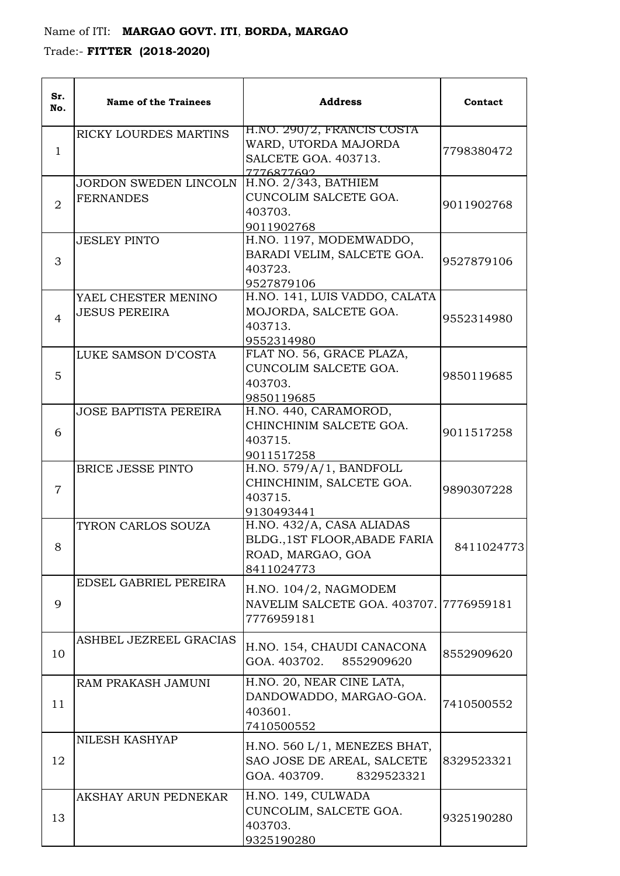## Name of ITI: **MARGAO GOVT. ITI**, **BORDA, MARGAO**

Trade:- **FITTER (2018-2020)**

| Sr.<br>No.     | <b>Name of the Trainees</b>                      | <b>Address</b>                                                                                | Contact    |
|----------------|--------------------------------------------------|-----------------------------------------------------------------------------------------------|------------|
| $\mathbf{1}$   | RICKY LOURDES MARTINS                            | H.NO. 290/2, FRANCIS COSTA<br>WARD, UTORDA MAJORDA<br>SALCETE GOA. 403713.<br>7776877692      | 7798380472 |
| $\overline{2}$ | <b>JORDON SWEDEN LINCOLN</b><br><b>FERNANDES</b> | H.NO. 2/343, BATHIEM<br>CUNCOLIM SALCETE GOA.<br>403703.<br>9011902768                        | 9011902768 |
| 3              | <b>JESLEY PINTO</b>                              | H.NO. 1197, MODEMWADDO,<br>BARADI VELIM, SALCETE GOA.<br>403723.<br>9527879106                | 9527879106 |
| $\overline{4}$ | YAEL CHESTER MENINO<br><b>JESUS PEREIRA</b>      | H.NO. 141, LUIS VADDO, CALATA<br>MOJORDA, SALCETE GOA.<br>403713.<br>9552314980               | 9552314980 |
| 5              | LUKE SAMSON D'COSTA                              | FLAT NO. 56, GRACE PLAZA,<br>CUNCOLIM SALCETE GOA.<br>403703.<br>9850119685                   | 9850119685 |
| 6              | <b>JOSE BAPTISTA PEREIRA</b>                     | H.NO. 440, CARAMOROD,<br>CHINCHINIM SALCETE GOA.<br>403715.<br>9011517258                     | 9011517258 |
| 7              | <b>BRICE JESSE PINTO</b>                         | H.NO. 579/A/1, BANDFOLL<br>CHINCHINIM, SALCETE GOA.<br>403715.<br>9130493441                  | 9890307228 |
| 8              | TYRON CARLOS SOUZA                               | H.NO. 432/A, CASA ALIADAS<br>BLDG., 1ST FLOOR, ABADE FARIA<br>ROAD, MARGAO, GOA<br>8411024773 | 8411024773 |
| 9              | EDSEL GABRIEL PEREIRA                            | H.NO. 104/2, NAGMODEM<br>NAVELIM SALCETE GOA. 403707. 7776959181<br>7776959181                |            |
| 10             | ASHBEL JEZREEL GRACIAS                           | H.NO. 154, CHAUDI CANACONA<br>GOA. 403702. 8552909620                                         | 8552909620 |
| 11             | RAM PRAKASH JAMUNI                               | H.NO. 20, NEAR CINE LATA,<br>DANDOWADDO, MARGAO-GOA.<br>403601.<br>7410500552                 | 7410500552 |
| 12             | NILESH KASHYAP                                   | H.NO. 560 L/1, MENEZES BHAT,<br>SAO JOSE DE AREAL, SALCETE<br>GOA. 403709.<br>8329523321      | 8329523321 |
| 13             | AKSHAY ARUN PEDNEKAR                             | H.NO. 149, CULWADA<br>CUNCOLIM, SALCETE GOA.<br>403703.<br>9325190280                         | 9325190280 |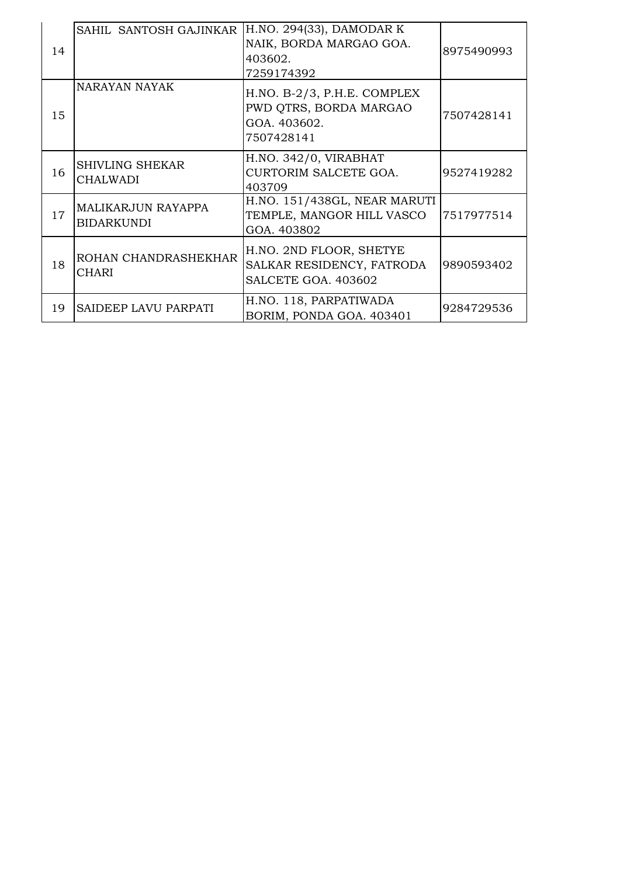| 14 | SAHIL SANTOSH GAJINKAR                    | H.NO. 294(33), DAMODAR K<br>NAIK, BORDA MARGAO GOA.<br>403602.<br>7259174392          | 8975490993 |
|----|-------------------------------------------|---------------------------------------------------------------------------------------|------------|
| 15 | NARAYAN NAYAK                             | $H.NO. B-2/3, P.H.E. COMPLEX$<br>PWD QTRS, BORDA MARGAO<br>GOA. 403602.<br>7507428141 | 7507428141 |
| 16 | <b>SHIVLING SHEKAR</b><br><b>CHALWADI</b> | H.NO. 342/0, VIRABHAT<br>CURTORIM SALCETE GOA.<br>403709                              | 9527419282 |
| 17 | <b>MALIKARJUN RAYAPPA</b><br>BIDARKUNDI   | H.NO. 151/438GL, NEAR MARUTI<br>TEMPLE, MANGOR HILL VASCO<br>GOA. 403802              | 7517977514 |
| 18 | ROHAN CHANDRASHEKHAR<br>CHARI             | H.NO. 2ND FLOOR, SHETYE<br>SALKAR RESIDENCY, FATRODA<br>SALCETE GOA. 403602           | 9890593402 |
| 19 | SAIDEEP LAVU PARPATI                      | H.NO. 118, PARPATIWADA<br>BORIM, PONDA GOA. 403401                                    | 9284729536 |